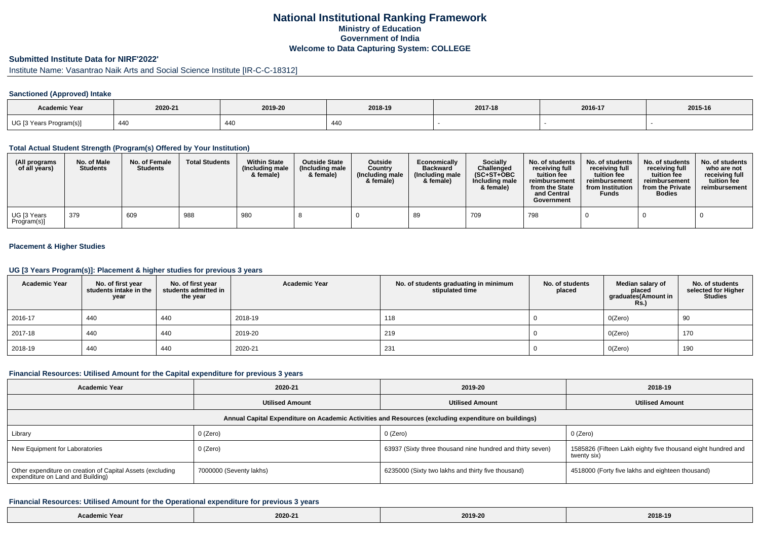## **National Institutional Ranking FrameworkMinistry of Education Government of IndiaWelcome to Data Capturing System: COLLEGE**

#### **Submitted Institute Data for NIRF'2022'**

# Institute Name: Vasantrao Naik Arts and Social Science Institute [IR-C-C-18312]

### **Sanctioned (Approved) Intake**

| Academic Year           |                       |         |             |         |         |         |
|-------------------------|-----------------------|---------|-------------|---------|---------|---------|
|                         | 2020-21               | 2019-20 | 2018-19     | 2017-18 | 2016-17 | 2015-16 |
| UG [3 Years Program(s)] | $\overline{A}$<br>446 | 440     | $\Delta$ AO |         |         |         |

#### **Total Actual Student Strength (Program(s) Offered by Your Institution)**

| (All programs<br>of all years) | No. of Male<br><b>Students</b> | No. of Female<br><b>Students</b> | <b>Total Students</b> | <b>Within State</b><br>(Including male<br>& female) | <b>Outside State</b><br>(Including male<br>& female) | <b>Outside</b><br>Country<br>(Including male<br>& female) | Economically<br><b>Backward</b><br>(Including male<br>& female) | <b>Socially</b><br>Challenged<br>$(SC+ST+OBC)$<br>Including male<br>& female) | No. of students<br>receivina full<br>tuition fee<br>reimbursement<br>from the State<br>and Central<br>Government | No. of students<br>receiving full<br>tuition fee<br>reimbursement<br>from Institution<br><b>Funds</b> | No. of students<br>receiving full<br>tuition fee<br>reimbursement<br>from the Private<br><b>Bodies</b> | No. of students<br>who are not<br>receiving full<br>tuition fee<br>reimbursement |
|--------------------------------|--------------------------------|----------------------------------|-----------------------|-----------------------------------------------------|------------------------------------------------------|-----------------------------------------------------------|-----------------------------------------------------------------|-------------------------------------------------------------------------------|------------------------------------------------------------------------------------------------------------------|-------------------------------------------------------------------------------------------------------|--------------------------------------------------------------------------------------------------------|----------------------------------------------------------------------------------|
| UG [3 Years<br>Program(s)]     | 379                            | 609                              | 988                   | 980                                                 |                                                      |                                                           | 89                                                              | 709                                                                           | 798                                                                                                              |                                                                                                       |                                                                                                        |                                                                                  |

#### **Placement & Higher Studies**

#### **UG [3 Years Program(s)]: Placement & higher studies for previous 3 years**

| <b>Academic Year</b> | No. of first year<br>students intake in the<br>year | No. of first year<br>students admitted in<br>the year | <b>Academic Year</b> | No. of students graduating in minimum<br>stipulated time | No. of students<br>placed | Median salary of<br>placed<br>graduates(Amount in<br><b>Rs.)</b> | No. of students<br>selected for Higher<br><b>Studies</b> |
|----------------------|-----------------------------------------------------|-------------------------------------------------------|----------------------|----------------------------------------------------------|---------------------------|------------------------------------------------------------------|----------------------------------------------------------|
| 2016-17              | 440                                                 | 440                                                   | 2018-19              | 118                                                      |                           | O(Zero)                                                          | 90                                                       |
| 2017-18              | 440                                                 | 440                                                   | 2019-20              | 219                                                      |                           | O(Zero)                                                          | 170                                                      |
| 2018-19              | 440                                                 | 440                                                   | 2020-21              | 231                                                      |                           | O(Zero)                                                          | 190                                                      |

#### **Financial Resources: Utilised Amount for the Capital expenditure for previous 3 years**

| <b>Academic Year</b>                                                                                 | 2020-21                 | 2019-20                                                    | 2018-19                                                                     |  |  |  |  |  |  |
|------------------------------------------------------------------------------------------------------|-------------------------|------------------------------------------------------------|-----------------------------------------------------------------------------|--|--|--|--|--|--|
|                                                                                                      | <b>Utilised Amount</b>  |                                                            | <b>Utilised Amount</b>                                                      |  |  |  |  |  |  |
| Annual Capital Expenditure on Academic Activities and Resources (excluding expenditure on buildings) |                         |                                                            |                                                                             |  |  |  |  |  |  |
| Library                                                                                              | 0 (Zero)                | 0 (Zero)                                                   | 0 (Zero)                                                                    |  |  |  |  |  |  |
| New Equipment for Laboratories                                                                       | 0 (Zero)                | 63937 (Sixty three thousand nine hundred and thirty seven) | 1585826 (Fifteen Lakh eighty five thousand eight hundred and<br>twenty six) |  |  |  |  |  |  |
| Other expenditure on creation of Capital Assets (excluding<br>expenditure on Land and Building)      | 7000000 (Seventy lakhs) | 6235000 (Sixty two lakhs and thirty five thousand)         | 4518000 (Forty five lakhs and eighteen thousand)                            |  |  |  |  |  |  |

#### **Financial Resources: Utilised Amount for the Operational expenditure for previous 3 years**

| emic Year | 2020-21 | 2019-20 | 2018-19 |
|-----------|---------|---------|---------|
|-----------|---------|---------|---------|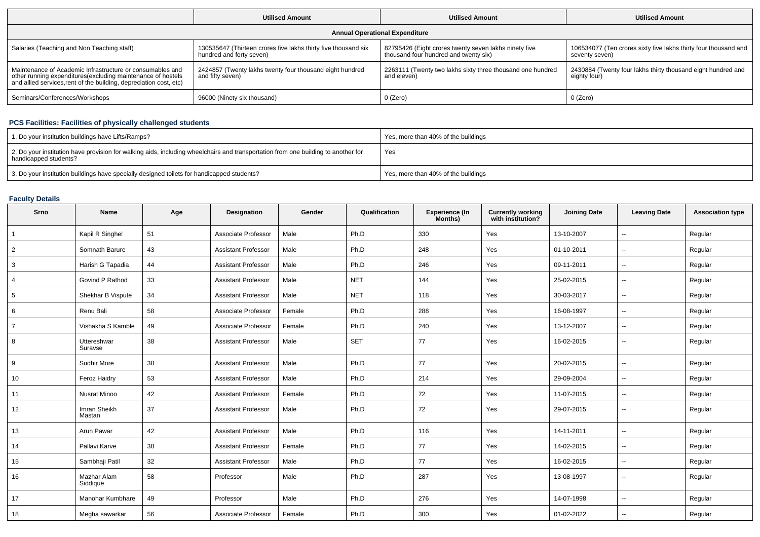|                                                                                                                                                                                                 | <b>Utilised Amount</b>                                                                     | <b>Utilised Amount</b>                                                                         | <b>Utilised Amount</b>                                                            |  |  |  |  |  |  |
|-------------------------------------------------------------------------------------------------------------------------------------------------------------------------------------------------|--------------------------------------------------------------------------------------------|------------------------------------------------------------------------------------------------|-----------------------------------------------------------------------------------|--|--|--|--|--|--|
| <b>Annual Operational Expenditure</b>                                                                                                                                                           |                                                                                            |                                                                                                |                                                                                   |  |  |  |  |  |  |
| Salaries (Teaching and Non Teaching staff)                                                                                                                                                      | 130535647 (Thirteen crores five lakhs thirty five thousand six<br>hundred and forty seven) | 82795426 (Eight crores twenty seven lakhs ninety five<br>thousand four hundred and twenty six) | 106534077 (Ten crores sixty five lakhs thirty four thousand and<br>seventy seven) |  |  |  |  |  |  |
| Maintenance of Academic Infrastructure or consumables and<br>other running expenditures (excluding maintenance of hostels<br>and allied services, rent of the building, depreciation cost, etc) | 2424857 (Twenty lakhs twenty four thousand eight hundred<br>and fifty seven)               | 2263111 (Twenty two lakhs sixty three thousand one hundred<br>and eleven)                      | 2430884 (Twenty four lakhs thirty thousand eight hundred and<br>eighty four)      |  |  |  |  |  |  |
| Seminars/Conferences/Workshops                                                                                                                                                                  | 96000 (Ninety six thousand)                                                                | 0 (Zero)                                                                                       | 0 (Zero)                                                                          |  |  |  |  |  |  |

### **PCS Facilities: Facilities of physically challenged students**

| 1. Do your institution buildings have Lifts/Ramps?                                                                                                         | Yes, more than 40% of the buildings |
|------------------------------------------------------------------------------------------------------------------------------------------------------------|-------------------------------------|
| 2. Do your institution have provision for walking aids, including wheelchairs and transportation from one building to another for<br>handicapped students? | Yes                                 |
| 3. Do your institution buildings have specially designed toilets for handicapped students?                                                                 | Yes, more than 40% of the buildings |

## **Faculty Details**

| Srno           | <b>Name</b>             | Age | <b>Designation</b>         | Gender | Qualification | <b>Experience (In</b><br>Months) | <b>Currently working</b><br>with institution? | <b>Joining Date</b> | <b>Leaving Date</b>      | <b>Association type</b> |
|----------------|-------------------------|-----|----------------------------|--------|---------------|----------------------------------|-----------------------------------------------|---------------------|--------------------------|-------------------------|
| $\overline{1}$ | Kapil R Singhel         | 51  | Associate Professor        | Male   | Ph.D          | 330                              | Yes                                           | 13-10-2007          | $\overline{\phantom{a}}$ | Regular                 |
| $\overline{2}$ | Somnath Barure          | 43  | <b>Assistant Professor</b> | Male   | Ph.D          | 248                              | Yes                                           | 01-10-2011          | $\overline{\phantom{a}}$ | Regular                 |
| 3              | Harish G Tapadia        | 44  | <b>Assistant Professor</b> | Male   | Ph.D          | 246                              | Yes                                           | 09-11-2011          | $\sim$                   | Regular                 |
| 4              | Govind P Rathod         | 33  | <b>Assistant Professor</b> | Male   | <b>NET</b>    | 144                              | Yes                                           | 25-02-2015          | $\sim$                   | Regular                 |
| 5              | Shekhar B Vispute       | 34  | <b>Assistant Professor</b> | Male   | <b>NET</b>    | 118                              | Yes                                           | 30-03-2017          | $\overline{\phantom{a}}$ | Regular                 |
| 6              | Renu Bali               | 58  | Associate Professor        | Female | Ph.D          | 288                              | Yes                                           | 16-08-1997          | $\overline{\phantom{a}}$ | Regular                 |
| $\overline{7}$ | Vishakha S Kamble       | 49  | Associate Professor        | Female | Ph.D          | 240                              | Yes                                           | 13-12-2007          | −−                       | Regular                 |
| 8              | Uttereshwar<br>Suravse  | 38  | <b>Assistant Professor</b> | Male   | <b>SET</b>    | 77                               | Yes                                           | 16-02-2015          | $\overline{\phantom{a}}$ | Regular                 |
| 9              | Sudhir More             | 38  | <b>Assistant Professor</b> | Male   | Ph.D          | 77                               | Yes                                           | 20-02-2015          | $\overline{\phantom{a}}$ | Regular                 |
| 10             | <b>Feroz Haidry</b>     | 53  | <b>Assistant Professor</b> | Male   | Ph.D          | 214                              | Yes                                           | 29-09-2004          | $\sim$                   | Regular                 |
| 11             | Nusrat Minoo            | 42  | <b>Assistant Professor</b> | Female | Ph.D          | 72                               | Yes                                           | 11-07-2015          | --                       | Regular                 |
| 12             | Imran Sheikh<br>Mastan  | 37  | <b>Assistant Professor</b> | Male   | Ph.D          | 72                               | Yes                                           | 29-07-2015          | $\sim$                   | Regular                 |
| 13             | Arun Pawar              | 42  | <b>Assistant Professor</b> | Male   | Ph.D          | 116                              | Yes                                           | 14-11-2011          | $\overline{\phantom{a}}$ | Regular                 |
| 14             | Pallavi Karve           | 38  | <b>Assistant Professor</b> | Female | Ph.D          | 77                               | Yes                                           | 14-02-2015          | $\sim$                   | Regular                 |
| 15             | Sambhaji Patil          | 32  | <b>Assistant Professor</b> | Male   | Ph.D          | 77                               | Yes                                           | 16-02-2015          | $\sim$                   | Regular                 |
| 16             | Mazhar Alam<br>Siddique | 58  | Professor                  | Male   | Ph.D          | 287                              | Yes                                           | 13-08-1997          | $\sim$                   | Regular                 |
| 17             | Manohar Kumbhare        | 49  | Professor                  | Male   | Ph.D          | 276                              | Yes                                           | 14-07-1998          | ⊷.                       | Regular                 |
| 18             | Megha sawarkar          | 56  | Associate Professor        | Female | Ph.D          | 300                              | Yes                                           | 01-02-2022          | $\overline{\phantom{a}}$ | Regular                 |